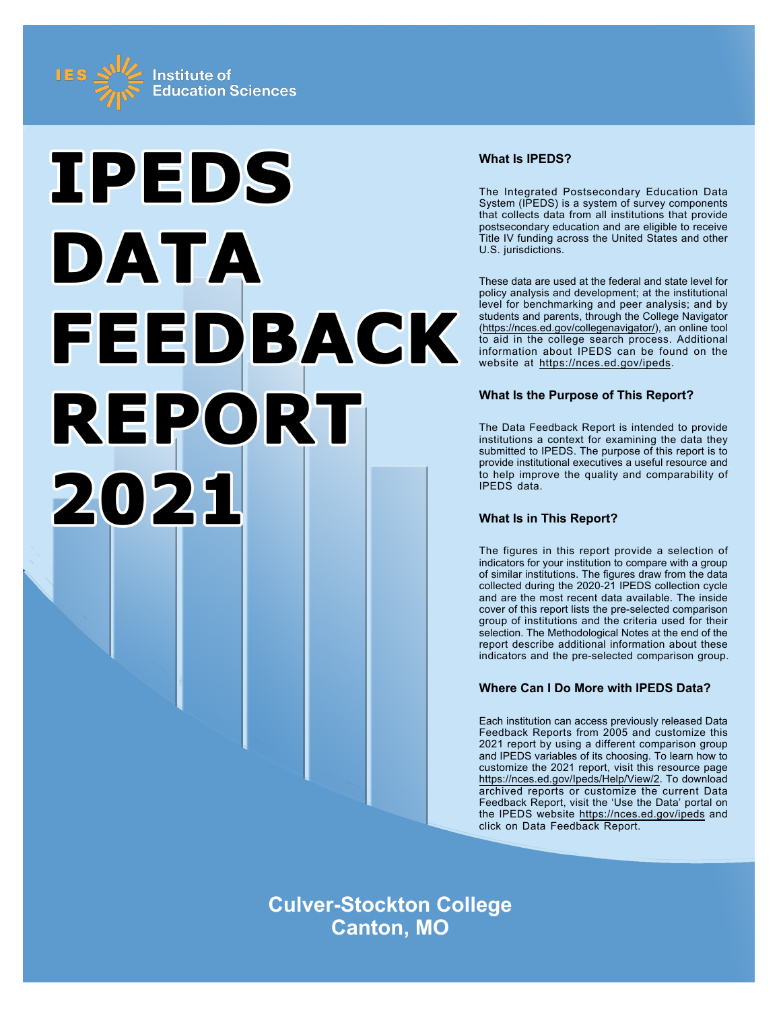



## **What Is IPEDS?**

The Integrated Postsecondary Education Data System (IPEDS) is a system of survey components that collects data from all institutions that provide postsecondary education and are eligible to receive Title IV funding across the United States and other U.S. jurisdictions.

These data are used at the federal and state level for policy analysis and development; at the institutional level for benchmarking and peer analysis; and by students and parents, through the College Navigator ([https://nces.ed.gov/collegenavigator/\)](https://nces.ed.gov/collegenavigator/), an online tool to aid in the college search process. Additional information about IPEDS can be found on the website at<https://nces.ed.gov/ipeds>.

# **What Is the Purpose of This Report?**

The Data Feedback Report is intended to provide institutions a context for examining the data they submitted to IPEDS. The purpose of this report is to provide institutional executives a useful resource and to help improve the quality and comparability of IPEDS data.

# **What Is in This Report?**

The figures in this report provide a selection of indicators for your institution to compare with a group of similar institutions. The figures draw from the data collected during the 2020-21 IPEDS collection cycle and are the most recent data available. The inside cover of this report lists the pre-selected comparison group of institutions and the criteria used for their selection. The Methodological Notes at the end of the report describe additional information about these indicators and the pre-selected comparison group.

# **Where Can I Do More with IPEDS Data?**

Each institution can access previously released Data Feedback Reports from 2005 and customize this 2021 report by using a different comparison group and IPEDS variables of its choosing. To learn how to customize the 2021 report, visit this resource page <https://nces.ed.gov/Ipeds/Help/View/2>. To download archived reports or customize the current Data Feedback Report, visit the 'Use the Data' portal on the IPEDS website<https://nces.ed.gov/ipeds> and click on Data Feedback Report.

**Culver-Stockton College Canton, MO**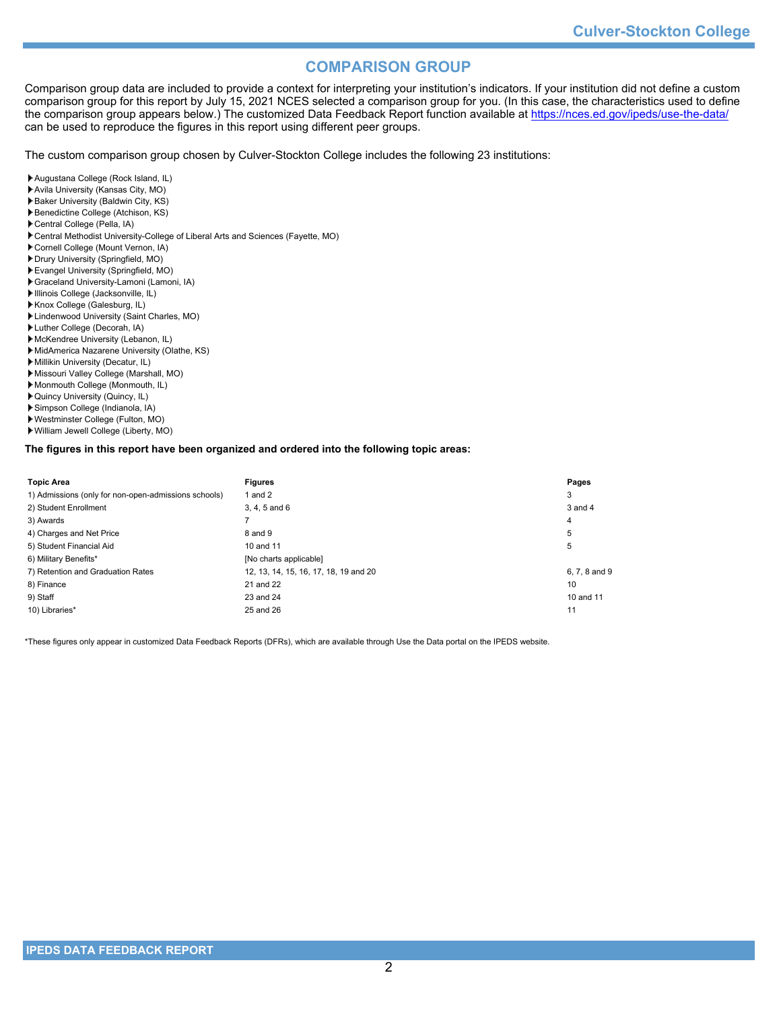# **COMPARISON GROUP**

Comparison group data are included to provide a context for interpreting your institution's indicators. If your institution did not define a custom comparison group for this report by July 15, 2021 NCES selected a comparison group for you. (In this case, the characteristics used to define the comparison group appears below.) The customized Data Feedback Report function available at<https://nces.ed.gov/ipeds/use-the-data/> can be used to reproduce the figures in this report using different peer groups.

The custom comparison group chosen by Culver-Stockton College includes the following 23 institutions:

- Augustana College (Rock Island, IL)
- Avila University (Kansas City, MO)
- Baker University (Baldwin City, KS) Benedictine College (Atchison, KS)
- 
- Central College (Pella, IA)
- Central Methodist University-College of Liberal Arts and Sciences (Fayette, MO)
- Cornell College (Mount Vernon, IA)
- Drury University (Springfield, MO)
- Evangel University (Springfield, MO)
- Graceland University-Lamoni (Lamoni, IA)
- Illinois College (Jacksonville, IL)
- Knox College (Galesburg, IL)
- Lindenwood University (Saint Charles, MO)
- Luther College (Decorah, IA)
- McKendree University (Lebanon, IL) MidAmerica Nazarene University (Olathe, KS)
- Millikin University (Decatur, IL)
- Missouri Valley College (Marshall, MO)
- Monmouth College (Monmouth, IL)
- 
- Quincy University (Quincy, IL) Simpson College (Indianola, IA)
- Westminster College (Fulton, MO)
- William Jewell College (Liberty, MO)
- 

### **The figures in this report have been organized and ordered into the following topic areas:**

| <b>Topic Area</b>                                    | <b>Figures</b>                        | Pages         |
|------------------------------------------------------|---------------------------------------|---------------|
| 1) Admissions (only for non-open-admissions schools) | 1 and $2$                             | 3             |
| 2) Student Enrollment                                | $3, 4, 5$ and $6$                     | 3 and 4       |
| 3) Awards                                            |                                       | 4             |
| 4) Charges and Net Price                             | 8 and 9                               | 5             |
| 5) Student Financial Aid                             | 10 and 11                             | 5             |
| 6) Military Benefits*                                | [No charts applicable]                |               |
| 7) Retention and Graduation Rates                    | 12, 13, 14, 15, 16, 17, 18, 19 and 20 | 6, 7, 8 and 9 |
| 8) Finance                                           | 21 and 22                             | 10            |
| 9) Staff                                             | 23 and 24                             | 10 and 11     |
| 10) Libraries*                                       | 25 and 26                             | 11            |

\*These figures only appear in customized Data Feedback Reports (DFRs), which are available through Use the Data portal on the IPEDS website.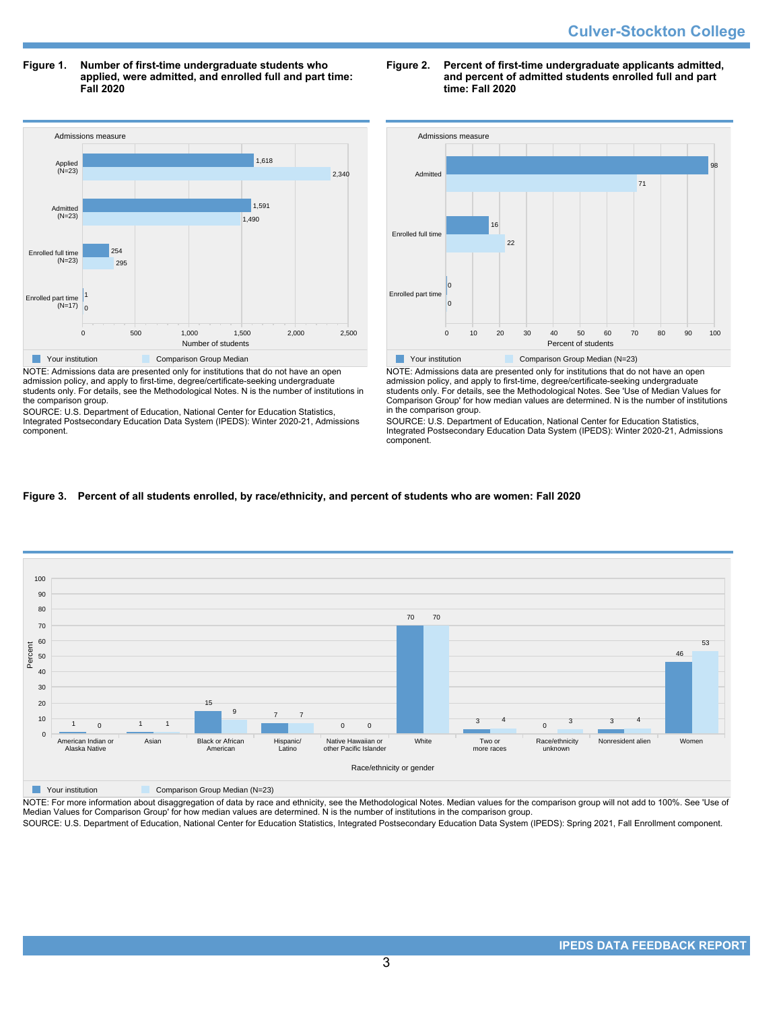**Figure 1. Number of first-time undergraduate students who applied, were admitted, and enrolled full and part time: Fall 2020**



NOTE: Admissions data are presented only for institutions that do not have an open admission policy, and apply to first-time, degree/certificate-seeking undergraduate students only. For details, see the Methodological Notes. N is the number of institutions in the comparison group.

SOURCE: U.S. Department of Education, National Center for Education Statistics, Integrated Postsecondary Education Data System (IPEDS): Winter 2020-21, Admissions component.

### **Figure 2. Percent of first-time undergraduate applicants admitted, and percent of admitted students enrolled full and part time: Fall 2020**



NOTE: Admissions data are presented only for institutions that do not have an open admission policy, and apply to first-time, degree/certificate-seeking undergraduate students only. For details, see the Methodological Notes. See 'Use of Median Values for Comparison Group' for how median values are determined. N is the number of institutions in the comparison group.

SOURCE: U.S. Department of Education, National Center for Education Statistics, Integrated Postsecondary Education Data System (IPEDS): Winter 2020-21, Admissions component.

## **Figure 3. Percent of all students enrolled, by race/ethnicity, and percent of students who are women: Fall 2020**



**The Comparison Group Median (N=23)** Comparison Group Median (N=23)

NOTE: For more information about disaggregation of data by race and ethnicity, see the Methodological Notes. Median values for the comparison group will not add to 100%. See 'Use of Median Values for Comparison Group' for how median values are determined. N is the number of institutions in the comparison group.

SOURCE: U.S. Department of Education, National Center for Education Statistics, Integrated Postsecondary Education Data System (IPEDS): Spring 2021, Fall Enrollment component.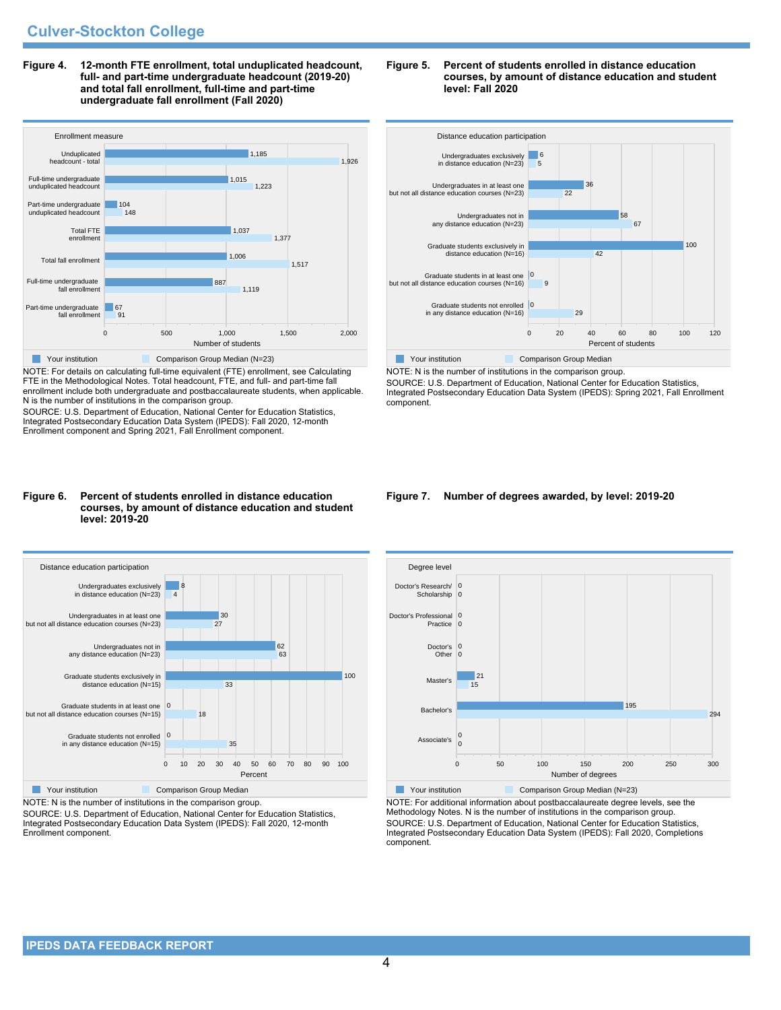**Figure 4. 12-month FTE enrollment, total unduplicated headcount, full- and part-time undergraduate headcount (2019-20) and total fall enrollment, full-time and part-time undergraduate fall enrollment (Fall 2020)**



NOTE: For details on calculating full-time equivalent (FTE) enrollment, see Calculating FTE in the Methodological Notes. Total headcount, FTE, and full- and part-time fall enrollment include both undergraduate and postbaccalaureate students, when applicable. N is the number of institutions in the comparison group.

SOURCE: U.S. Department of Education, National Center for Education Statistics, Integrated Postsecondary Education Data System (IPEDS): Fall 2020, 12-month Enrollment component and Spring 2021, Fall Enrollment component.

#### **Figure 6. Percent of students enrolled in distance education courses, by amount of distance education and student level: 2019-20**



NOTE: N is the number of institutions in the comparison group.

SOURCE: U.S. Department of Education, National Center for Education Statistics, Integrated Postsecondary Education Data System (IPEDS): Fall 2020, 12-month Enrollment component.





NOTE: N is the number of institutions in the comparison group. SOURCE: U.S. Department of Education, National Center for Education Statistics, Integrated Postsecondary Education Data System (IPEDS): Spring 2021, Fall Enrollment component.

#### **Figure 7. Number of degrees awarded, by level: 2019-20**



NOTE: For additional information about postbaccalaureate degree levels, see the Methodology Notes. N is the number of institutions in the comparison group. SOURCE: U.S. Department of Education, National Center for Education Statistics, Integrated Postsecondary Education Data System (IPEDS): Fall 2020, Completions component.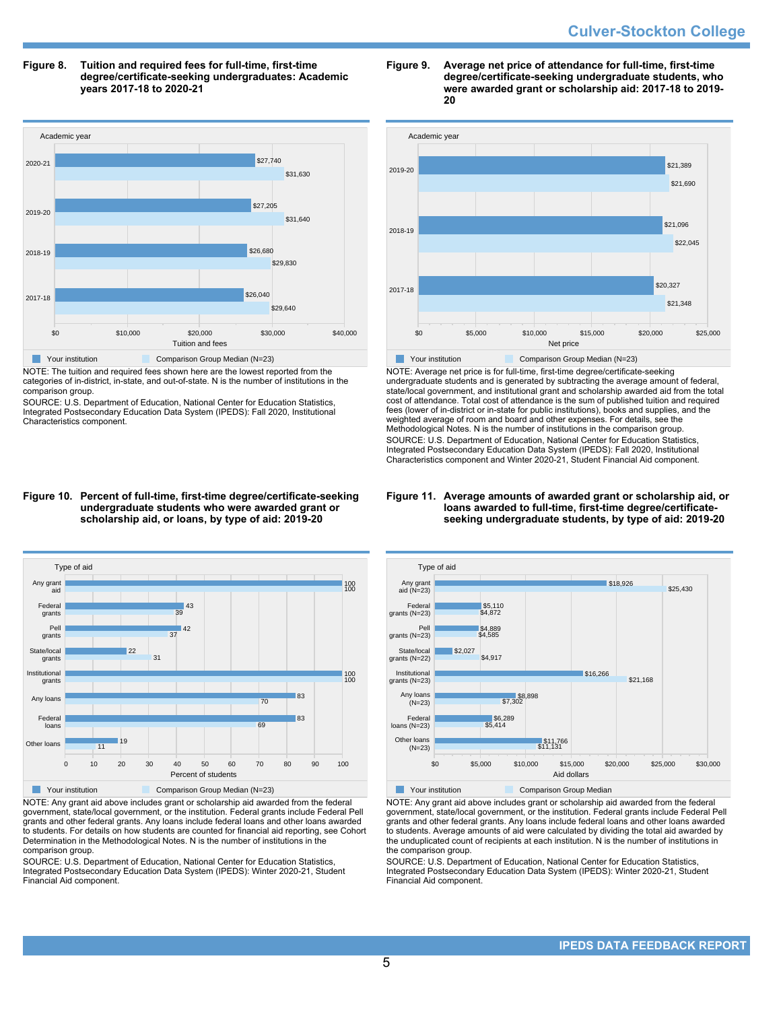#### **Figure 8. Tuition and required fees for full-time, first-time degree/certificate-seeking undergraduates: Academic years 2017-18 to 2020-21**



NOTE: The tuition and required fees shown here are the lowest reported from the categories of in-district, in-state, and out-of-state. N is the number of institutions in the comparison group.

SOURCE: U.S. Department of Education, National Center for Education Statistics, Integrated Postsecondary Education Data System (IPEDS): Fall 2020, Institutional Characteristics component.

#### **Figure 9. Average net price of attendance for full-time, first-time degree/certificate-seeking undergraduate students, who were awarded grant or scholarship aid: 2017-18 to 2019- 20**



NOTE: Average net price is for full-time, first-time degree/certificate-seeking undergraduate students and is generated by subtracting the average amount of federal, state/local government, and institutional grant and scholarship awarded aid from the total cost of attendance. Total cost of attendance is the sum of published tuition and required fees (lower of in-district or in-state for public institutions), books and supplies, and the weighted average of room and board and other expenses. For details, see the Methodological Notes. N is the number of institutions in the comparison group. SOURCE: U.S. Department of Education, National Center for Education Statistics, Integrated Postsecondary Education Data System (IPEDS): Fall 2020, Institutional Characteristics component and Winter 2020-21, Student Financial Aid component.

#### **Figure 10. Percent of full-time, first-time degree/certificate-seeking undergraduate students who were awarded grant or scholarship aid, or loans, by type of aid: 2019-20**



NOTE: Any grant aid above includes grant or scholarship aid awarded from the federal government, state/local government, or the institution. Federal grants include Federal Pell grants and other federal grants. Any loans include federal loans and other loans awarded to students. For details on how students are counted for financial aid reporting, see Cohort Determination in the Methodological Notes. N is the number of institutions in the comparison group.

SOURCE: U.S. Department of Education, National Center for Education Statistics, Integrated Postsecondary Education Data System (IPEDS): Winter 2020-21, Student Financial Aid component.

#### **Figure 11. Average amounts of awarded grant or scholarship aid, or loans awarded to full-time, first-time degree/certificateseeking undergraduate students, by type of aid: 2019-20**



NOTE: Any grant aid above includes grant or scholarship aid awarded from the federal government, state/local government, or the institution. Federal grants include Federal Pell grants and other federal grants. Any loans include federal loans and other loans awarded to students. Average amounts of aid were calculated by dividing the total aid awarded by the unduplicated count of recipients at each institution. N is the number of institutions in the comparison group.

SOURCE: U.S. Department of Education, National Center for Education Statistics, Integrated Postsecondary Education Data System (IPEDS): Winter 2020-21, Student Financial Aid component.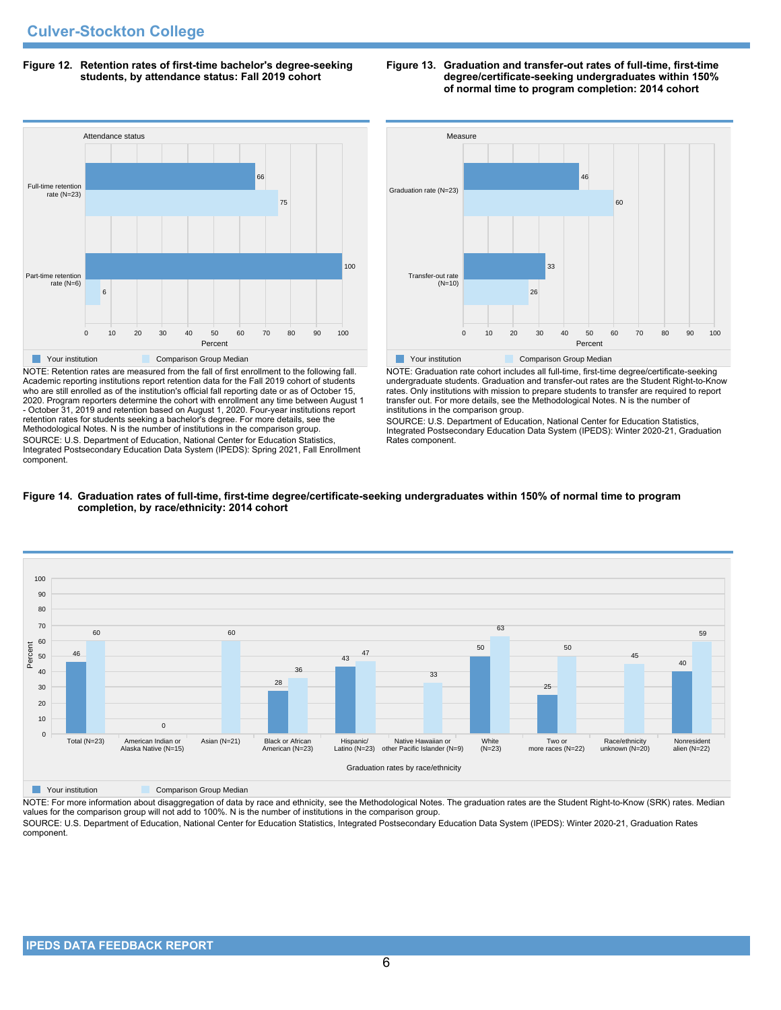#### **Figure 12. Retention rates of first-time bachelor's degree-seeking students, by attendance status: Fall 2019 cohort**



NOTE: Retention rates are measured from the fall of first enrollment to the following fall. Academic reporting institutions report retention data for the Fall 2019 cohort of students who are still enrolled as of the institution's official fall reporting date or as of October 15, 2020. Program reporters determine the cohort with enrollment any time between August 1 - October 31, 2019 and retention based on August 1, 2020. Four-year institutions report retention rates for students seeking a bachelor's degree. For more details, see the Methodological Notes. N is the number of institutions in the comparison group. SOURCE: U.S. Department of Education, National Center for Education Statistics, Integrated Postsecondary Education Data System (IPEDS): Spring 2021, Fall Enrollment component.





NOTE: Graduation rate cohort includes all full-time, first-time degree/certificate-seeking undergraduate students. Graduation and transfer-out rates are the Student Right-to-Know rates. Only institutions with mission to prepare students to transfer are required to report transfer out. For more details, see the Methodological Notes. N is the number of institutions in the comparison group.

SOURCE: U.S. Department of Education, National Center for Education Statistics, Integrated Postsecondary Education Data System (IPEDS): Winter 2020-21, Graduation Rates component.





**The Comparison Group Median**<br> **Comparison Group Median** 

NOTE: For more information about disaggregation of data by race and ethnicity, see the Methodological Notes. The graduation rates are the Student Right-to-Know (SRK) rates. Median values for the comparison group will not add to 100%. N is the number of institutions in the comparison group.

SOURCE: U.S. Department of Education, National Center for Education Statistics, Integrated Postsecondary Education Data System (IPEDS): Winter 2020-21, Graduation Rates component.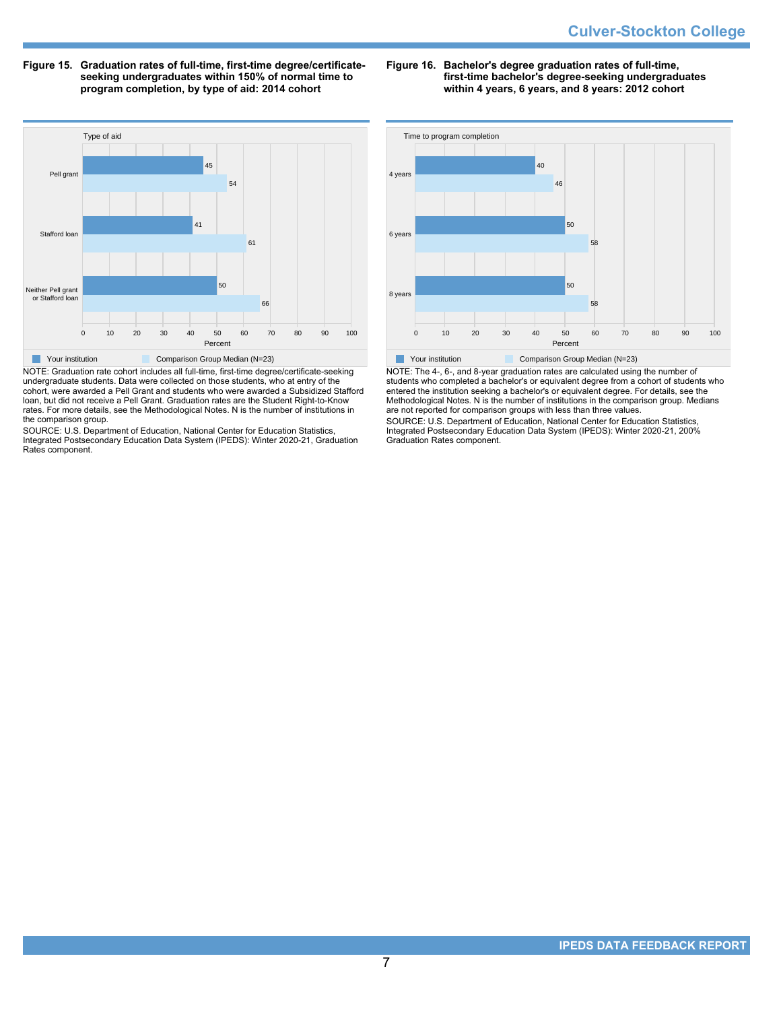**Figure 15. Graduation rates of full-time, first-time degree/certificateseeking undergraduates within 150% of normal time to program completion, by type of aid: 2014 cohort**

**Figure 16. Bachelor's degree graduation rates of full-time, first-time bachelor's degree-seeking undergraduates within 4 years, 6 years, and 8 years: 2012 cohort**



NOTE: Graduation rate cohort includes all full-time, first-time degree/certificate-seeking undergraduate students. Data were collected on those students, who at entry of the cohort, were awarded a Pell Grant and students who were awarded a Subsidized Stafford loan, but did not receive a Pell Grant. Graduation rates are the Student Right-to-Know rates. For more details, see the Methodological Notes. N is the number of institutions in the comparison group.

SOURCE: U.S. Department of Education, National Center for Education Statistics, Integrated Postsecondary Education Data System (IPEDS): Winter 2020-21, Graduation Rates component.



NOTE: The 4-, 6-, and 8-year graduation rates are calculated using the number of students who completed a bachelor's or equivalent degree from a cohort of students who entered the institution seeking a bachelor's or equivalent degree. For details, see the Methodological Notes. N is the number of institutions in the comparison group. Medians are not reported for comparison groups with less than three values.

SOURCE: U.S. Department of Education, National Center for Education Statistics, Integrated Postsecondary Education Data System (IPEDS): Winter 2020-21, 200% Graduation Rates component.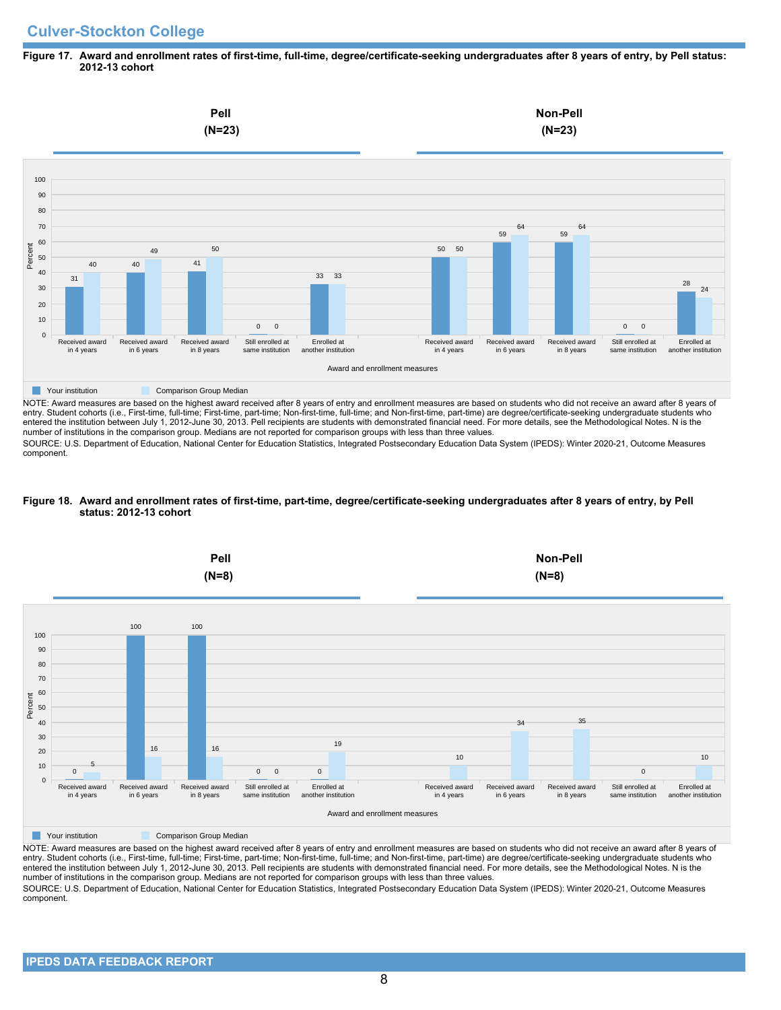# **Culver-Stockton College**

### **Figure 17. Award and enrollment rates of first-time, full-time, degree/certificate-seeking undergraduates after 8 years of entry, by Pell status: 2012-13 cohort**



NOTE: Award measures are based on the highest award received after 8 years of entry and enrollment measures are based on students who did not receive an award after 8 years of entry. Student cohorts (i.e., First-time, full-time; First-time, part-time; Non-first-time, full-time; and Non-first-time, part-time) are degree/certificate-seeking undergraduate students who entered the institution between July 1, 2012-June 30, 2013. Pell recipients are students with demonstrated financial need. For more details, see the Methodological Notes. N is the number of institutions in the comparison group. Medians are not reported for comparison groups with less than three values.

SOURCE: U.S. Department of Education, National Center for Education Statistics, Integrated Postsecondary Education Data System (IPEDS): Winter 2020-21, Outcome Measures component.

## **Figure 18. Award and enrollment rates of first-time, part-time, degree/certificate-seeking undergraduates after 8 years of entry, by Pell status: 2012-13 cohort**



NOTE: Award measures are based on the highest award received after 8 years of entry and enrollment measures are based on students who did not receive an award after 8 years of entry. Student cohorts (i.e., First-time, full-time; First-time, part-time; Non-first-time, full-time; and Non-first-time, part-time) are degree/certificate-seeking undergraduate students who entered the institution between July 1, 2012-June 30, 2013. Pell recipients are students with demonstrated financial need. For more details, see the Methodological Notes. N is the number of institutions in the comparison group. Medians are not reported for comparison groups with less than three values. SOURCE: U.S. Department of Education, National Center for Education Statistics, Integrated Postsecondary Education Data System (IPEDS): Winter 2020-21, Outcome Measures component.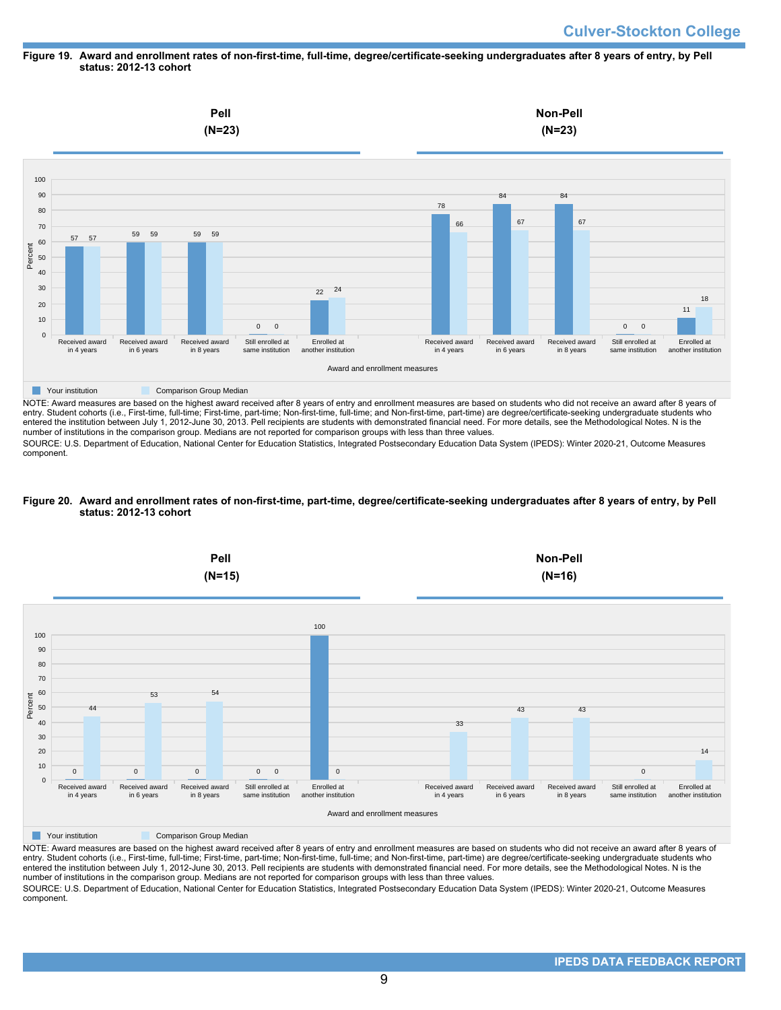#### **Figure 19. Award and enrollment rates of non-first-time, full-time, degree/certificate-seeking undergraduates after 8 years of entry, by Pell status: 2012-13 cohort**



NOTE: Award measures are based on the highest award received after 8 years of entry and enrollment measures are based on students who did not receive an award after 8 years of entry. Student cohorts (i.e., First-time, full-time; First-time, part-time; Non-first-time, full-time; and Non-first-time, part-time) are degree/certificate-seeking undergraduate students who entered the institution between July 1, 2012-June 30, 2013. Pell recipients are students with demonstrated financial need. For more details, see the Methodological Notes. N is the number of institutions in the comparison group. Medians are not reported for comparison groups with less than three values.

SOURCE: U.S. Department of Education, National Center for Education Statistics, Integrated Postsecondary Education Data System (IPEDS): Winter 2020-21, Outcome Measures component.

### **Figure 20. Award and enrollment rates of non-first-time, part-time, degree/certificate-seeking undergraduates after 8 years of entry, by Pell status: 2012-13 cohort**



NOTE: Award measures are based on the highest award received after 8 years of entry and enrollment measures are based on students who did not receive an award after 8 years of entry. Student cohorts (i.e., First-time, full-time; First-time, part-time; Non-first-time, full-time; and Non-first-time, part-time) are degree/certificate-seeking undergraduate students who entered the institution between July 1, 2012-June 30, 2013. Pell recipients are students with demonstrated financial need. For more details, see the Methodological Notes. N is the number of institutions in the comparison group. Medians are not reported for comparison groups with less than three values. SOURCE: U.S. Department of Education, National Center for Education Statistics, Integrated Postsecondary Education Data System (IPEDS): Winter 2020-21, Outcome Measures component.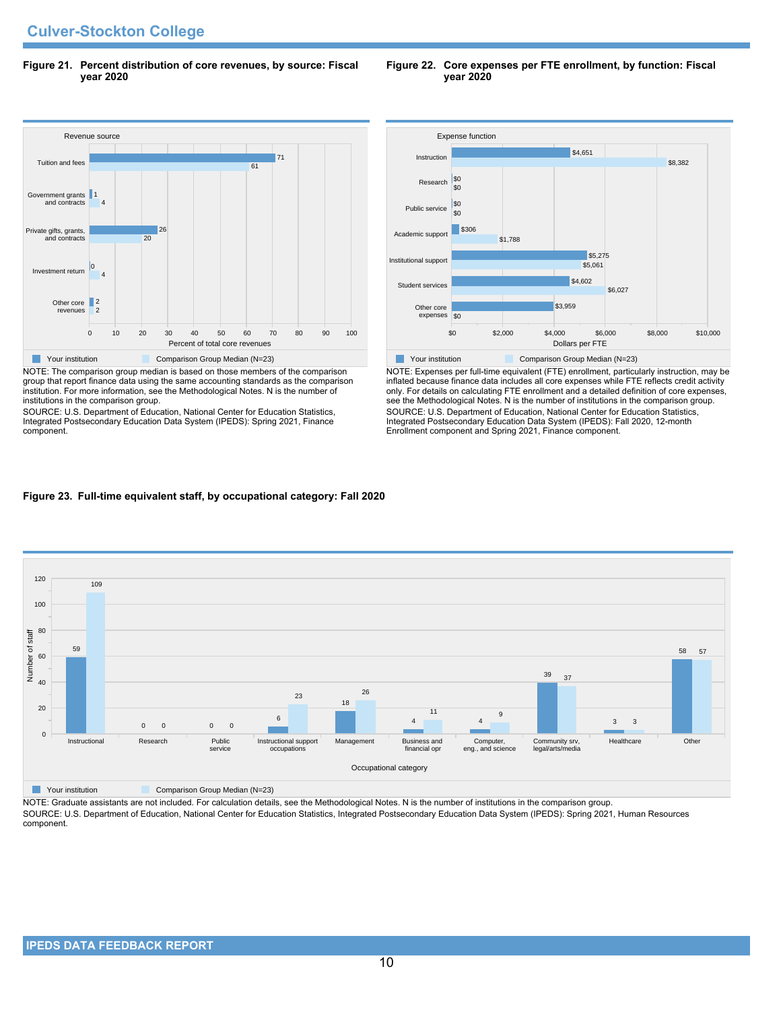**Figure 21. Percent distribution of core revenues, by source: Fiscal year 2020**

#### Revenue source 0 10 20 30 40 50 60 70 80 90 100 Percent of total core revenues Other core revenues Investment return Private gifts, grants, and contracts Government grants and contracts Tuition and fees  $\overline{2}$  $\blacksquare$ 4  $|0$  $\overline{20}$  $26$ 4 1 61 71 **The Comparison Group Median (N=23)** Comparison Group Median (N=23)

NOTE: The comparison group median is based on those members of the comparison group that report finance data using the same accounting standards as the comparison institution. For more information, see the Methodological Notes. N is the number of institutions in the comparison group.

SOURCE: U.S. Department of Education, National Center for Education Statistics, Integrated Postsecondary Education Data System (IPEDS): Spring 2021, Finance component.



NOTE: Expenses per full-time equivalent (FTE) enrollment, particularly instruction, may be inflated because finance data includes all core expenses while FTE reflects credit activity only. For details on calculating FTE enrollment and a detailed definition of core expenses, see the Methodological Notes. N is the number of institutions in the comparison group. SOURCE: U.S. Department of Education, National Center for Education Statistics, Integrated Postsecondary Education Data System (IPEDS): Fall 2020, 12-month Enrollment component and Spring 2021, Finance component.

## **Figure 23. Full-time equivalent staff, by occupational category: Fall 2020**



**The Comparison Group Median (N=23)** Comparison Group Median (N=23)

NOTE: Graduate assistants are not included. For calculation details, see the Methodological Notes. N is the number of institutions in the comparison group. SOURCE: U.S. Department of Education, National Center for Education Statistics, Integrated Postsecondary Education Data System (IPEDS): Spring 2021, Human Resources component.

#### **Figure 22. Core expenses per FTE enrollment, by function: Fiscal year 2020**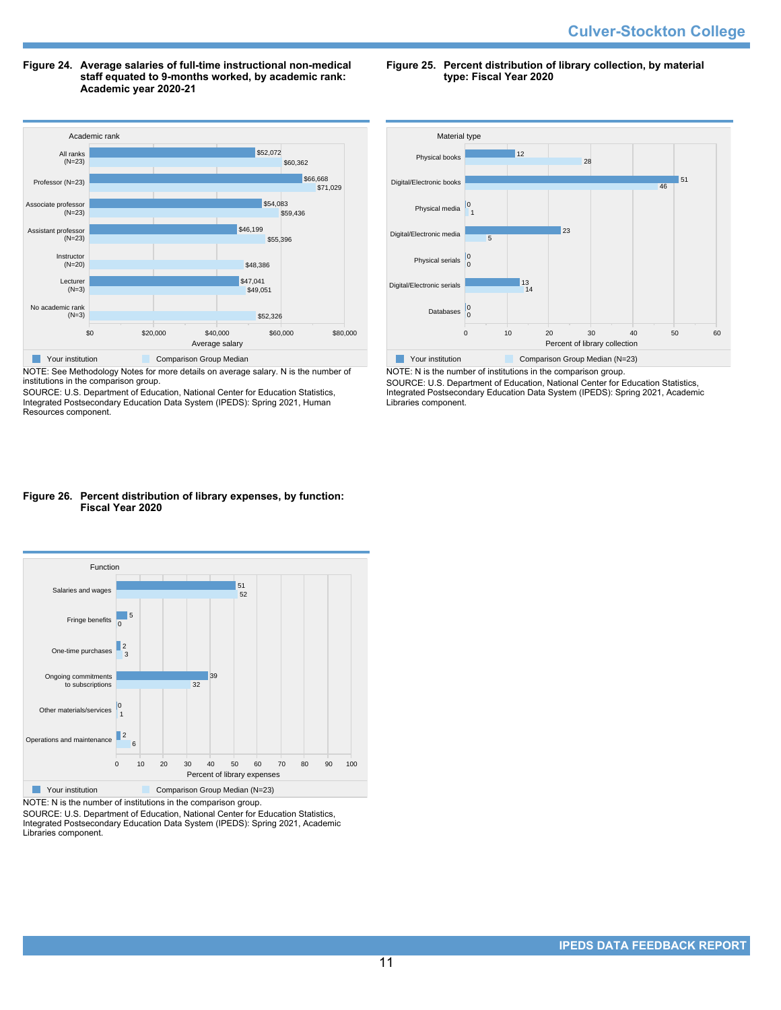#### **Figure 24. Average salaries of full-time instructional non-medical staff equated to 9-months worked, by academic rank: Academic year 2020-21**

Academic rank \$0 \$20,000 \$40,000 \$60,000 \$80,000 Average salary No academic rank (N=3) Lecturer (N=3) **Instructor**  $(N=20)$ Assistant professor (N=23) Associate professo (N=23) Professor (N=23) All ranks  $(N=23)$ \$52,326 \$49,051 \$47,041 \$48,386 \$55,396 \$46,199 \$59,436 \$54,083 \$71,029 \$66,668 \$60,362 \$52,072 **Nour institution Comparison Group Median** 

NOTE: See Methodology Notes for more details on average salary. N is the number of institutions in the comparison group.

SOURCE: U.S. Department of Education, National Center for Education Statistics, Integrated Postsecondary Education Data System (IPEDS): Spring 2021, Human Resources component.

#### **Figure 25. Percent distribution of library collection, by material type: Fiscal Year 2020**



NOTE: N is the number of institutions in the comparison group. SOURCE: U.S. Department of Education, National Center for Education Statistics, Integrated Postsecondary Education Data System (IPEDS): Spring 2021, Academic Libraries component.

### **Figure 26. Percent distribution of library expenses, by function: Fiscal Year 2020**



NOTE: N is the number of institutions in the comparison group.

SOURCE: U.S. Department of Education, National Center for Education Statistics, Integrated Postsecondary Education Data System (IPEDS): Spring 2021, Academic Libraries component.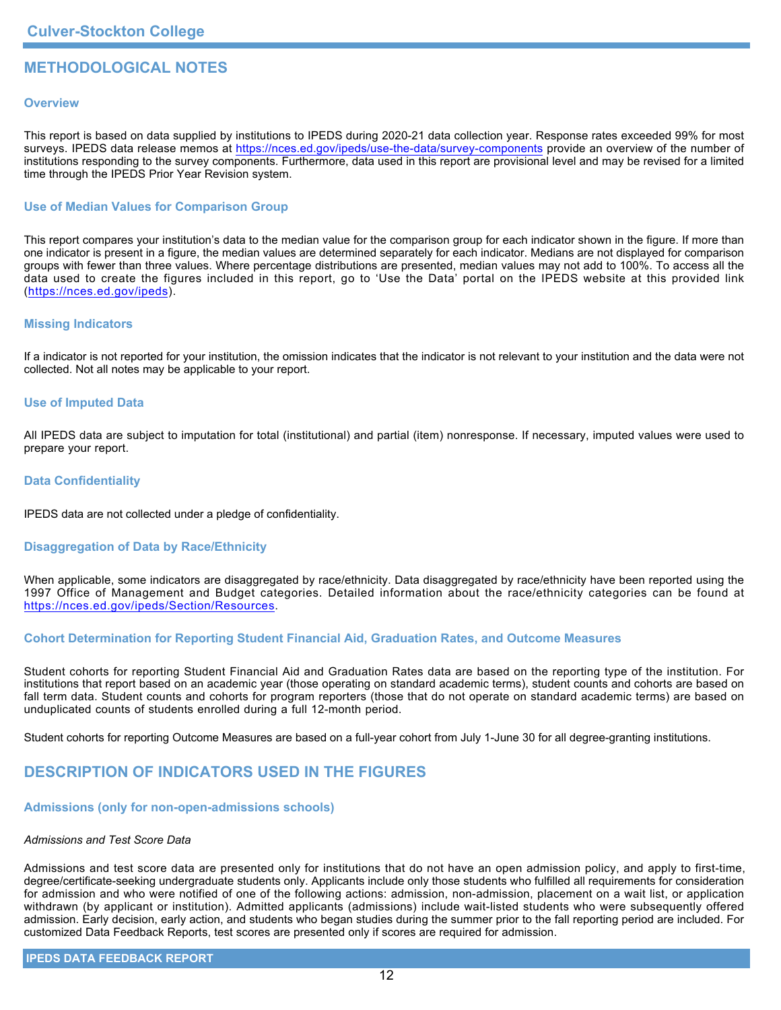# **METHODOLOGICAL NOTES**

### **Overview**

This report is based on data supplied by institutions to IPEDS during 2020-21 data collection year. Response rates exceeded 99% for most surveys. IPEDS data release memos at <https://nces.ed.gov/ipeds/use-the-data/survey-components> provide an overview of the number of institutions responding to the survey components. Furthermore, data used in this report are provisional level and may be revised for a limited time through the IPEDS Prior Year Revision system.

## **Use of Median Values for Comparison Group**

This report compares your institution's data to the median value for the comparison group for each indicator shown in the figure. If more than one indicator is present in a figure, the median values are determined separately for each indicator. Medians are not displayed for comparison groups with fewer than three values. Where percentage distributions are presented, median values may not add to 100%. To access all the data used to create the figures included in this report, go to 'Use the Data' portal on the IPEDS website at this provided link (<https://nces.ed.gov/ipeds>).

### **Missing Indicators**

If a indicator is not reported for your institution, the omission indicates that the indicator is not relevant to your institution and the data were not collected. Not all notes may be applicable to your report.

### **Use of Imputed Data**

All IPEDS data are subject to imputation for total (institutional) and partial (item) nonresponse. If necessary, imputed values were used to prepare your report.

### **Data Confidentiality**

IPEDS data are not collected under a pledge of confidentiality.

## **Disaggregation of Data by Race/Ethnicity**

When applicable, some indicators are disaggregated by race/ethnicity. Data disaggregated by race/ethnicity have been reported using the 1997 Office of Management and Budget categories. Detailed information about the race/ethnicity categories can be found at <https://nces.ed.gov/ipeds/Section/Resources>.

### **Cohort Determination for Reporting Student Financial Aid, Graduation Rates, and Outcome Measures**

Student cohorts for reporting Student Financial Aid and Graduation Rates data are based on the reporting type of the institution. For institutions that report based on an academic year (those operating on standard academic terms), student counts and cohorts are based on fall term data. Student counts and cohorts for program reporters (those that do not operate on standard academic terms) are based on unduplicated counts of students enrolled during a full 12-month period.

Student cohorts for reporting Outcome Measures are based on a full-year cohort from July 1-June 30 for all degree-granting institutions.

# **DESCRIPTION OF INDICATORS USED IN THE FIGURES**

### **Admissions (only for non-open-admissions schools)**

### *Admissions and Test Score Data*

Admissions and test score data are presented only for institutions that do not have an open admission policy, and apply to first-time, degree/certificate-seeking undergraduate students only. Applicants include only those students who fulfilled all requirements for consideration for admission and who were notified of one of the following actions: admission, non-admission, placement on a wait list, or application withdrawn (by applicant or institution). Admitted applicants (admissions) include wait-listed students who were subsequently offered admission. Early decision, early action, and students who began studies during the summer prior to the fall reporting period are included. For customized Data Feedback Reports, test scores are presented only if scores are required for admission.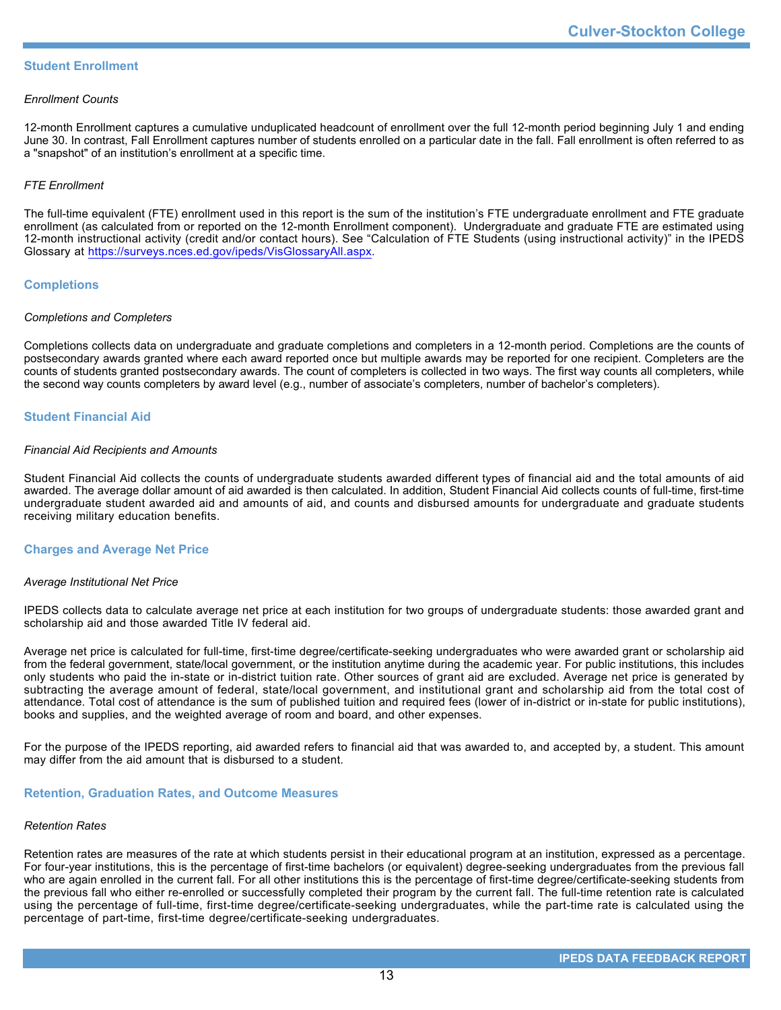### **Student Enrollment**

### *Enrollment Counts*

12-month Enrollment captures a cumulative unduplicated headcount of enrollment over the full 12-month period beginning July 1 and ending June 30. In contrast, Fall Enrollment captures number of students enrolled on a particular date in the fall. Fall enrollment is often referred to as a "snapshot" of an institution's enrollment at a specific time.

### *FTE Enrollment*

The full-time equivalent (FTE) enrollment used in this report is the sum of the institution's FTE undergraduate enrollment and FTE graduate enrollment (as calculated from or reported on the 12-month Enrollment component). Undergraduate and graduate FTE are estimated using 12-month instructional activity (credit and/or contact hours). See "Calculation of FTE Students (using instructional activity)" in the IPEDS Glossary at <https://surveys.nces.ed.gov/ipeds/VisGlossaryAll.aspx>.

### **Completions**

### *Completions and Completers*

Completions collects data on undergraduate and graduate completions and completers in a 12-month period. Completions are the counts of postsecondary awards granted where each award reported once but multiple awards may be reported for one recipient. Completers are the counts of students granted postsecondary awards. The count of completers is collected in two ways. The first way counts all completers, while the second way counts completers by award level (e.g., number of associate's completers, number of bachelor's completers).

## **Student Financial Aid**

#### *Financial Aid Recipients and Amounts*

Student Financial Aid collects the counts of undergraduate students awarded different types of financial aid and the total amounts of aid awarded. The average dollar amount of aid awarded is then calculated. In addition, Student Financial Aid collects counts of full-time, first-time undergraduate student awarded aid and amounts of aid, and counts and disbursed amounts for undergraduate and graduate students receiving military education benefits.

### **Charges and Average Net Price**

### *Average Institutional Net Price*

IPEDS collects data to calculate average net price at each institution for two groups of undergraduate students: those awarded grant and scholarship aid and those awarded Title IV federal aid.

Average net price is calculated for full-time, first-time degree/certificate-seeking undergraduates who were awarded grant or scholarship aid from the federal government, state/local government, or the institution anytime during the academic year. For public institutions, this includes only students who paid the in-state or in-district tuition rate. Other sources of grant aid are excluded. Average net price is generated by subtracting the average amount of federal, state/local government, and institutional grant and scholarship aid from the total cost of attendance. Total cost of attendance is the sum of published tuition and required fees (lower of in-district or in-state for public institutions), books and supplies, and the weighted average of room and board, and other expenses.

For the purpose of the IPEDS reporting, aid awarded refers to financial aid that was awarded to, and accepted by, a student. This amount may differ from the aid amount that is disbursed to a student.

### **Retention, Graduation Rates, and Outcome Measures**

### *Retention Rates*

Retention rates are measures of the rate at which students persist in their educational program at an institution, expressed as a percentage. For four-year institutions, this is the percentage of first-time bachelors (or equivalent) degree-seeking undergraduates from the previous fall who are again enrolled in the current fall. For all other institutions this is the percentage of first-time degree/certificate-seeking students from the previous fall who either re-enrolled or successfully completed their program by the current fall. The full-time retention rate is calculated using the percentage of full-time, first-time degree/certificate-seeking undergraduates, while the part-time rate is calculated using the percentage of part-time, first-time degree/certificate-seeking undergraduates.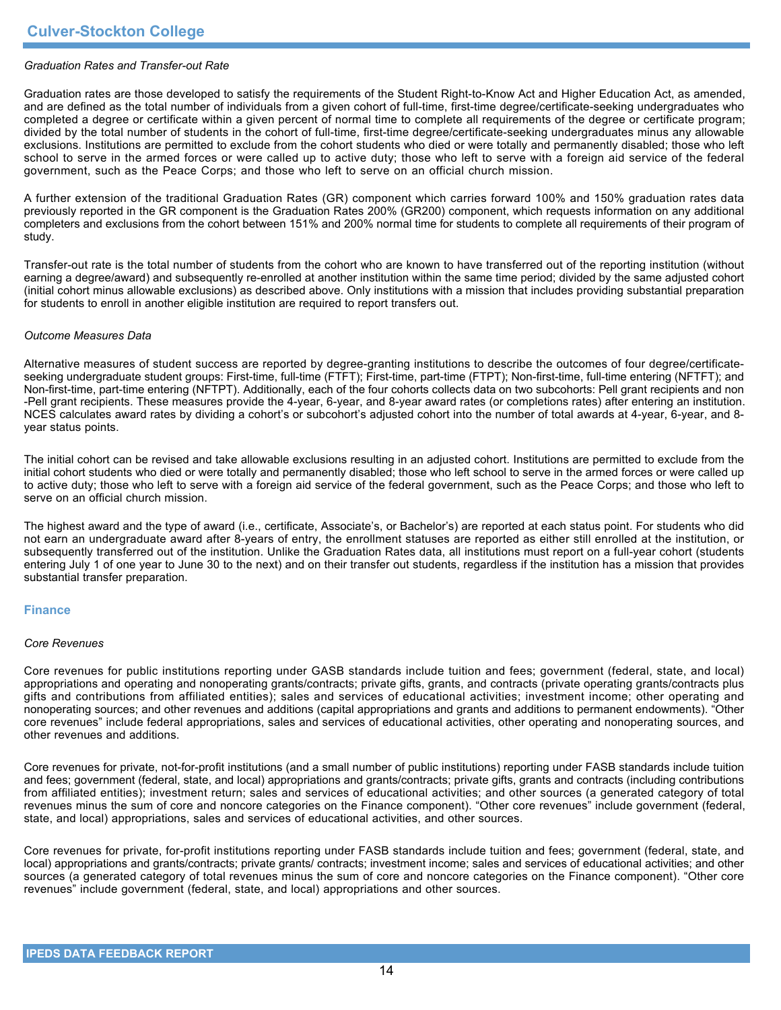### *Graduation Rates and Transfer-out Rate*

Graduation rates are those developed to satisfy the requirements of the Student Right-to-Know Act and Higher Education Act, as amended, and are defined as the total number of individuals from a given cohort of full-time, first-time degree/certificate-seeking undergraduates who completed a degree or certificate within a given percent of normal time to complete all requirements of the degree or certificate program; divided by the total number of students in the cohort of full-time, first-time degree/certificate-seeking undergraduates minus any allowable exclusions. Institutions are permitted to exclude from the cohort students who died or were totally and permanently disabled; those who left school to serve in the armed forces or were called up to active duty; those who left to serve with a foreign aid service of the federal government, such as the Peace Corps; and those who left to serve on an official church mission.

A further extension of the traditional Graduation Rates (GR) component which carries forward 100% and 150% graduation rates data previously reported in the GR component is the Graduation Rates 200% (GR200) component, which requests information on any additional completers and exclusions from the cohort between 151% and 200% normal time for students to complete all requirements of their program of study.

Transfer-out rate is the total number of students from the cohort who are known to have transferred out of the reporting institution (without earning a degree/award) and subsequently re-enrolled at another institution within the same time period; divided by the same adjusted cohort (initial cohort minus allowable exclusions) as described above. Only institutions with a mission that includes providing substantial preparation for students to enroll in another eligible institution are required to report transfers out.

### *Outcome Measures Data*

Alternative measures of student success are reported by degree-granting institutions to describe the outcomes of four degree/certificateseeking undergraduate student groups: First-time, full-time (FTFT); First-time, part-time (FTPT); Non-first-time, full-time entering (NFTFT); and Non-first-time, part-time entering (NFTPT). Additionally, each of the four cohorts collects data on two subcohorts: Pell grant recipients and non -Pell grant recipients. These measures provide the 4-year, 6-year, and 8-year award rates (or completions rates) after entering an institution. NCES calculates award rates by dividing a cohort's or subcohort's adjusted cohort into the number of total awards at 4-year, 6-year, and 8year status points.

The initial cohort can be revised and take allowable exclusions resulting in an adjusted cohort. Institutions are permitted to exclude from the initial cohort students who died or were totally and permanently disabled; those who left school to serve in the armed forces or were called up to active duty; those who left to serve with a foreign aid service of the federal government, such as the Peace Corps; and those who left to serve on an official church mission.

The highest award and the type of award (i.e., certificate, Associate's, or Bachelor's) are reported at each status point. For students who did not earn an undergraduate award after 8-years of entry, the enrollment statuses are reported as either still enrolled at the institution, or subsequently transferred out of the institution. Unlike the Graduation Rates data, all institutions must report on a full-year cohort (students entering July 1 of one year to June 30 to the next) and on their transfer out students, regardless if the institution has a mission that provides substantial transfer preparation.

### **Finance**

#### *Core Revenues*

Core revenues for public institutions reporting under GASB standards include tuition and fees; government (federal, state, and local) appropriations and operating and nonoperating grants/contracts; private gifts, grants, and contracts (private operating grants/contracts plus gifts and contributions from affiliated entities); sales and services of educational activities; investment income; other operating and nonoperating sources; and other revenues and additions (capital appropriations and grants and additions to permanent endowments). "Other core revenues" include federal appropriations, sales and services of educational activities, other operating and nonoperating sources, and other revenues and additions.

Core revenues for private, not-for-profit institutions (and a small number of public institutions) reporting under FASB standards include tuition and fees; government (federal, state, and local) appropriations and grants/contracts; private gifts, grants and contracts (including contributions from affiliated entities); investment return; sales and services of educational activities; and other sources (a generated category of total revenues minus the sum of core and noncore categories on the Finance component). "Other core revenues" include government (federal, state, and local) appropriations, sales and services of educational activities, and other sources.

Core revenues for private, for-profit institutions reporting under FASB standards include tuition and fees; government (federal, state, and local) appropriations and grants/contracts; private grants/ contracts; investment income; sales and services of educational activities; and other sources (a generated category of total revenues minus the sum of core and noncore categories on the Finance component). "Other core revenues" include government (federal, state, and local) appropriations and other sources.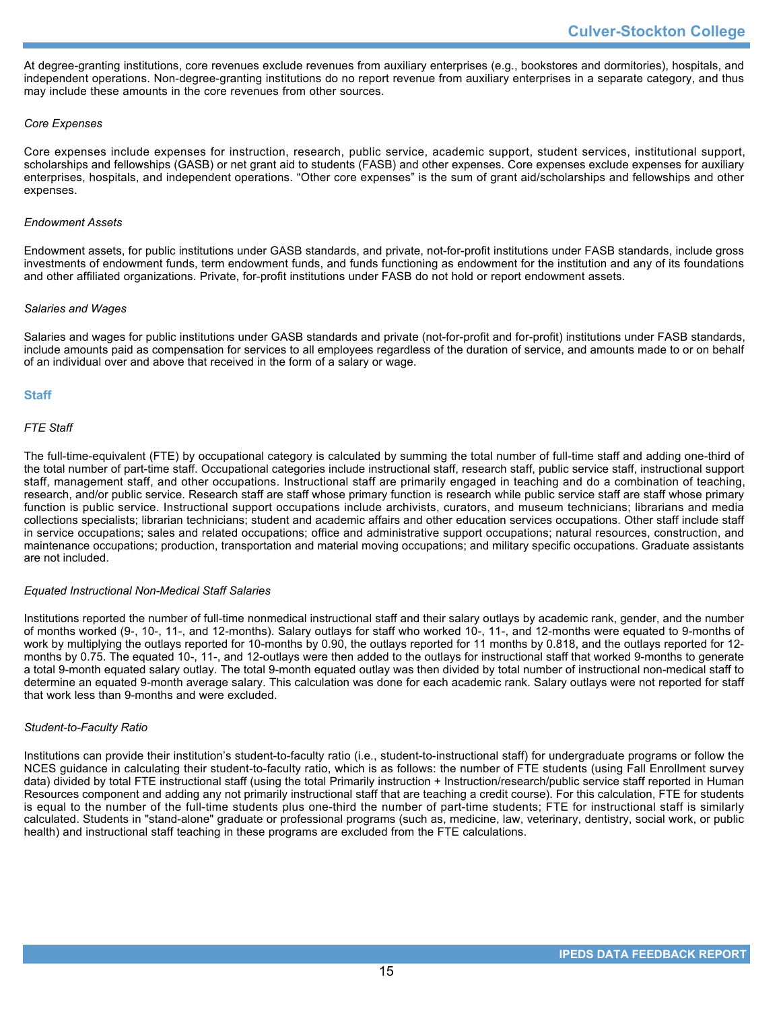At degree-granting institutions, core revenues exclude revenues from auxiliary enterprises (e.g., bookstores and dormitories), hospitals, and independent operations. Non-degree-granting institutions do no report revenue from auxiliary enterprises in a separate category, and thus may include these amounts in the core revenues from other sources.

### *Core Expenses*

Core expenses include expenses for instruction, research, public service, academic support, student services, institutional support, scholarships and fellowships (GASB) or net grant aid to students (FASB) and other expenses. Core expenses exclude expenses for auxiliary enterprises, hospitals, and independent operations. "Other core expenses" is the sum of grant aid/scholarships and fellowships and other expenses.

### *Endowment Assets*

Endowment assets, for public institutions under GASB standards, and private, not-for-profit institutions under FASB standards, include gross investments of endowment funds, term endowment funds, and funds functioning as endowment for the institution and any of its foundations and other affiliated organizations. Private, for-profit institutions under FASB do not hold or report endowment assets.

### *Salaries and Wages*

Salaries and wages for public institutions under GASB standards and private (not-for-profit and for-profit) institutions under FASB standards, include amounts paid as compensation for services to all employees regardless of the duration of service, and amounts made to or on behalf of an individual over and above that received in the form of a salary or wage.

### **Staff**

### *FTE Staff*

The full-time-equivalent (FTE) by occupational category is calculated by summing the total number of full-time staff and adding one-third of the total number of part-time staff. Occupational categories include instructional staff, research staff, public service staff, instructional support staff, management staff, and other occupations. Instructional staff are primarily engaged in teaching and do a combination of teaching, research, and/or public service. Research staff are staff whose primary function is research while public service staff are staff whose primary function is public service. Instructional support occupations include archivists, curators, and museum technicians; librarians and media collections specialists; librarian technicians; student and academic affairs and other education services occupations. Other staff include staff in service occupations; sales and related occupations; office and administrative support occupations; natural resources, construction, and maintenance occupations; production, transportation and material moving occupations; and military specific occupations. Graduate assistants are not included.

#### *Equated Instructional Non-Medical Staff Salaries*

Institutions reported the number of full-time nonmedical instructional staff and their salary outlays by academic rank, gender, and the number of months worked (9-, 10-, 11-, and 12-months). Salary outlays for staff who worked 10-, 11-, and 12-months were equated to 9-months of work by multiplying the outlays reported for 10-months by 0.90, the outlays reported for 11 months by 0.818, and the outlays reported for 12 months by 0.75. The equated 10-, 11-, and 12-outlays were then added to the outlays for instructional staff that worked 9-months to generate a total 9-month equated salary outlay. The total 9-month equated outlay was then divided by total number of instructional non-medical staff to determine an equated 9-month average salary. This calculation was done for each academic rank. Salary outlays were not reported for staff that work less than 9-months and were excluded.

#### *Student-to-Faculty Ratio*

Institutions can provide their institution's student-to-faculty ratio (i.e., student-to-instructional staff) for undergraduate programs or follow the NCES guidance in calculating their student-to-faculty ratio, which is as follows: the number of FTE students (using Fall Enrollment survey data) divided by total FTE instructional staff (using the total Primarily instruction + Instruction/research/public service staff reported in Human Resources component and adding any not primarily instructional staff that are teaching a credit course). For this calculation, FTE for students is equal to the number of the full-time students plus one-third the number of part-time students; FTE for instructional staff is similarly calculated. Students in "stand-alone" graduate or professional programs (such as, medicine, law, veterinary, dentistry, social work, or public health) and instructional staff teaching in these programs are excluded from the FTE calculations.